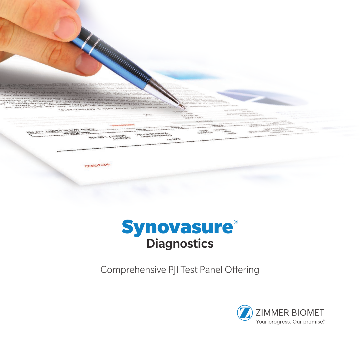

## **Synovasure® Diagnostics**

Comprehensive PJI Test Panel Offering

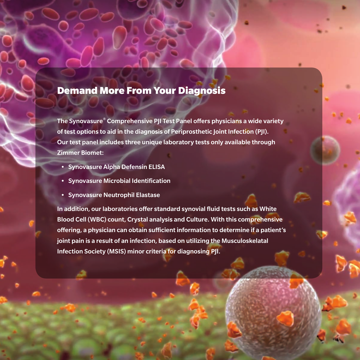## Demand More From Your Diagnosis

The Synovasure® Comprehensive PJI Test Panel offers physicians a wide variety of test options to aid in the diagnosis of Periprosthetic Joint Infection (PJI). Our test panel includes three unique laboratory tests only available through Zimmer Biomet:

- Synovasure Alpha Defensin ELISA
- Synovasure Microbial Identification
- Synovasure Neutrophil Elastase

In addition, our laboratories offer standard synovial fluid tests such as White Blood Cell (WBC) count, Crystal analysis and Culture. With this comprehensive offering, a physician can obtain sufficient information to determine if a patient's joint pain is a result of an infection, based on utilizing the Musculoskelatal Infection Society (MSIS) minor criteria for diagnosing PJI.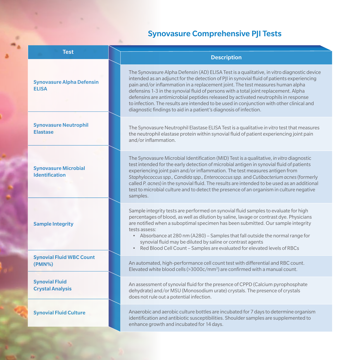## Synovasure Comprehensive PJI Tests

| <b>Test</b>                                          | <b>Description</b>                                                                                                                                                                                                                                                                                                                                                                                                                                                                                                                                                                                                        |
|------------------------------------------------------|---------------------------------------------------------------------------------------------------------------------------------------------------------------------------------------------------------------------------------------------------------------------------------------------------------------------------------------------------------------------------------------------------------------------------------------------------------------------------------------------------------------------------------------------------------------------------------------------------------------------------|
| <b>Synovasure Alpha Defensin</b><br><b>ELISA</b>     | The Synovasure Alpha Defensin (AD) ELISA Test is a qualitative, in vitro diagnostic device<br>intended as an adjunct for the detection of PJI in synovial fluid of patients experiencing<br>pain and/or inflammation in a replacement joint. The test measures human alpha<br>defensins 1-3 in the synovial fluid of persons with a total joint replacement. Alpha<br>defensins are antimicrobial peptides released by activated neutrophils in response<br>to infection. The results are intended to be used in conjunction with other clinical and<br>diagnostic findings to aid in a patient's diagnosis of infection. |
| <b>Synovasure Neutrophil</b><br><b>Elastase</b>      | The Synovasure Neutrophil Elastase ELISA Test is a qualitative in vitro test that measures<br>the neutrophil elastase protein within synovial fluid of patient experiencing joint pain<br>and/or inflammation.                                                                                                                                                                                                                                                                                                                                                                                                            |
| <b>Synovasure Microbial</b><br><b>Identification</b> | The Synovasure Microbial Identification (MID) Test is a qualitative, in vitro diagnostic<br>test intended for the early detection of microbial antigen in synovial fluid of patients<br>experiencing joint pain and/or inflammation. The test measures antigen from<br>Staphylococcus spp., Candida spp., Enterococcus spp. and Cutibacterium acnes (formerly<br>called P. acnes) in the synovial fluid. The results are intended to be used as an additional<br>test to microbial culture and to detect the presence of an organism in culture negative<br>samples.                                                      |
| <b>Sample Integrity</b>                              | Sample integrity tests are performed on synovial fluid samples to evaluate for high<br>percentages of blood, as well as dilution by saline, lavage or contrast dye. Physicians<br>are notified when a suboptimal specimen has been submitted. Our sample integrity<br>tests assess:<br>• Absorbance at 280 nm (A280) - Samples that fall outside the normal range for<br>synovial fluid may be diluted by saline or contrast agents<br>Red Blood Cell Count – Samples are evaluated for elevated levels of RBCs                                                                                                           |
| <b>Synovial Fluid WBC Count</b><br>$(PMN\%)$         | An automated, high-performance cell count test with differential and RBC count.<br>Elevated white blood cells (>3000c/mm <sup>3</sup> ) are confirmed with a manual count.                                                                                                                                                                                                                                                                                                                                                                                                                                                |
| <b>Synovial Fluid</b><br><b>Crystal Analysis</b>     | An assessment of synovial fluid for the presence of CPPD (Calcium pyrophosphate<br>dehydrate) and/or MSU (Monosodium urate) crystals. The presence of crystals<br>does not rule out a potential infection.                                                                                                                                                                                                                                                                                                                                                                                                                |
| <b>Synovial Fluid Culture</b>                        | Anaerobic and aerobic culture bottles are incubated for 7 days to determine organism<br>identification and antibiotic susceptibilities. Shoulder samples are supplemented to<br>enhance growth and incubated for 14 days.                                                                                                                                                                                                                                                                                                                                                                                                 |